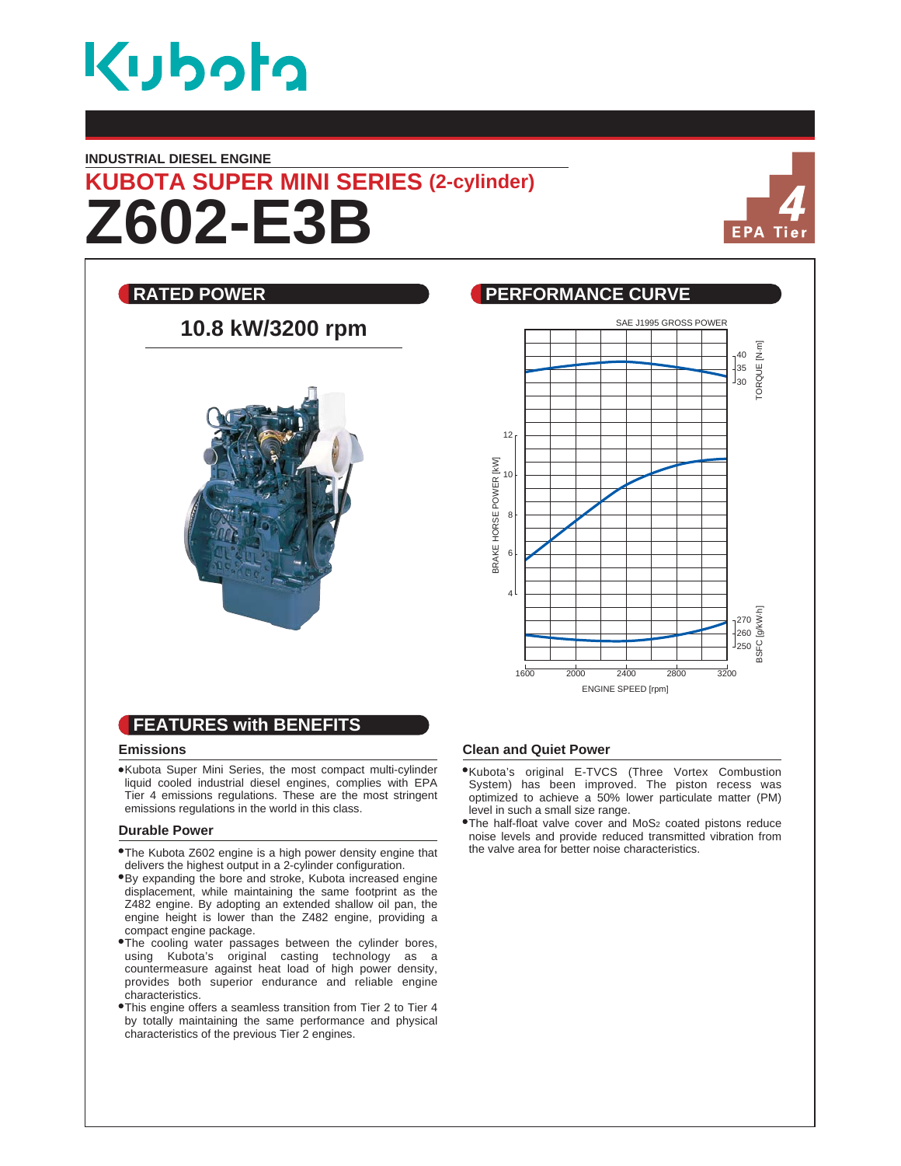

#### **INDUSTRIAL DIESEL ENGINE**

# **Z602-E3B KUBOTA SUPER MINI SERIES (2-cylinder)**



## **RATED POWER CURVE REALLY BEEN PERFORMANCE CURVE** SAE J1995 GROSS POWER **10.8 kW/3200 rpm** ORQUE [N.m] TORQUE [N.m] 40  $\frac{1}{35}$ 30 12 BRAKE HORSE POWER [KW] BRAKE HORSE POWER [kW] 10 8 6 4 BSFC [g/kW.h] 270 260 250 1600 2000 2400 2800 3200 ENGINE SPEED [rpm] **FEATURES with BENEFITS**

#### **Emissions**

Kubota Super Mini Series, the most compact multi-cylinder liquid cooled industrial diesel engines, complies with EPA Tier 4 emissions regulations. These are the most stringent emissions regulations in the world in this class.

#### **Durable Power**

- The Kubota Z602 engine is a high power density engine that delivers the highest output in a 2-cylinder configuration.
- By expanding the bore and stroke, Kubota increased engine displacement, while maintaining the same footprint as the Z482 engine. By adopting an extended shallow oil pan, the engine height is lower than the Z482 engine, providing a compact engine package.
- The cooling water passages between the cylinder bores, using Kubota's original casting technology as a countermeasure against heat load of high power density, provides both superior endurance and reliable engine characteristics.
- This engine offers a seamless transition from Tier 2 to Tier 4 by totally maintaining the same performance and physical characteristics of the previous Tier 2 engines.

### **Clean and Quiet Power**

- Kubota's original E-TVCS (Three Vortex Combustion System) has been improved. The piston recess was optimized to achieve a 50% lower particulate matter (PM) level in such a small size range.
- The half-float valve cover and MoS2 coated pistons reduce noise levels and provide reduced transmitted vibration from the valve area for better noise characteristics.